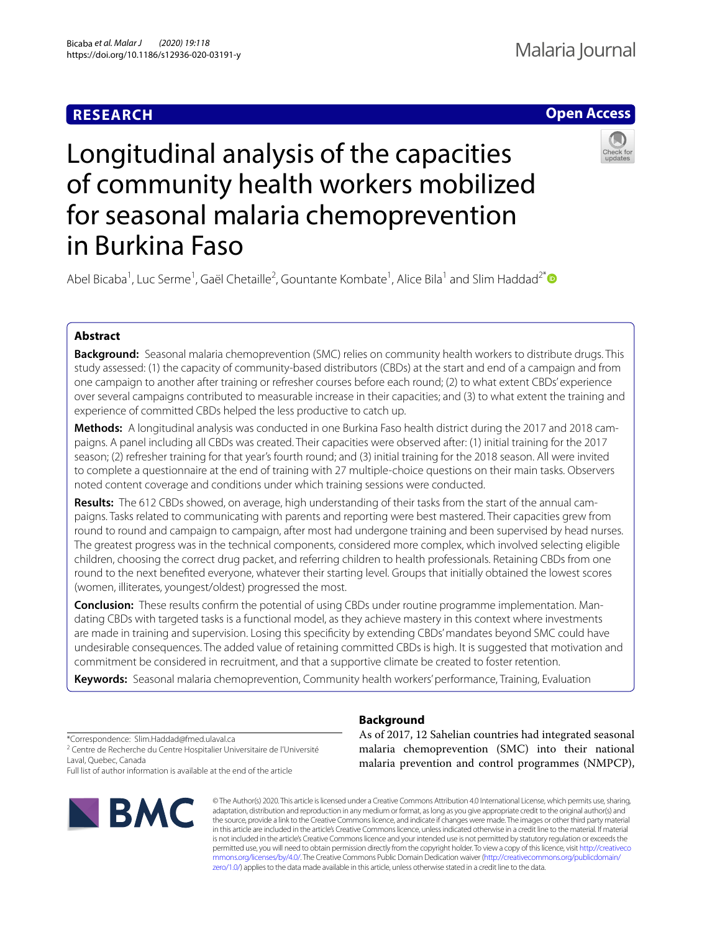## **RESEARCH**



# Longitudinal analysis of the capacities of community health workers mobilized for seasonal malaria chemoprevention in Burkina Faso



Abel Bicaba<sup>1</sup>, Luc Serme<sup>1</sup>, Gaël Chetaille<sup>2</sup>, Gountante Kombate<sup>1</sup>, Alice Bila<sup>1</sup> and Slim Haddad<sup>2[\\*](http://orcid.org/0000-0001-9470-4196)</sup>

### **Abstract**

**Background:** Seasonal malaria chemoprevention (SMC) relies on community health workers to distribute drugs. This study assessed: (1) the capacity of community-based distributors (CBDs) at the start and end of a campaign and from one campaign to another after training or refresher courses before each round; (2) to what extent CBDs' experience over several campaigns contributed to measurable increase in their capacities; and (3) to what extent the training and experience of committed CBDs helped the less productive to catch up.

**Methods:** A longitudinal analysis was conducted in one Burkina Faso health district during the 2017 and 2018 campaigns. A panel including all CBDs was created. Their capacities were observed after: (1) initial training for the 2017 season; (2) refresher training for that year's fourth round; and (3) initial training for the 2018 season. All were invited to complete a questionnaire at the end of training with 27 multiple-choice questions on their main tasks. Observers noted content coverage and conditions under which training sessions were conducted.

**Results:** The 612 CBDs showed, on average, high understanding of their tasks from the start of the annual campaigns. Tasks related to communicating with parents and reporting were best mastered. Their capacities grew from round to round and campaign to campaign, after most had undergone training and been supervised by head nurses. The greatest progress was in the technical components, considered more complex, which involved selecting eligible children, choosing the correct drug packet, and referring children to health professionals. Retaining CBDs from one round to the next benefted everyone, whatever their starting level. Groups that initially obtained the lowest scores (women, illiterates, youngest/oldest) progressed the most.

**Conclusion:** These results confrm the potential of using CBDs under routine programme implementation. Mandating CBDs with targeted tasks is a functional model, as they achieve mastery in this context where investments are made in training and supervision. Losing this specifcity by extending CBDs' mandates beyond SMC could have undesirable consequences. The added value of retaining committed CBDs is high. It is suggested that motivation and commitment be considered in recruitment, and that a supportive climate be created to foster retention.

**Keywords:** Seasonal malaria chemoprevention, Community health workers' performance, Training, Evaluation

\*Correspondence: Slim.Haddad@fmed.ulaval.ca

<sup>2</sup> Centre de Recherche du Centre Hospitalier Universitaire de l'Université Laval, Quebec, Canada

Full list of author information is available at the end of the article



**Background** As of 2017, 12 Sahelian countries had integrated seasonal malaria chemoprevention (SMC) into their national malaria prevention and control programmes (NMPCP),

© The Author(s) 2020. This article is licensed under a Creative Commons Attribution 4.0 International License, which permits use, sharing, adaptation, distribution and reproduction in any medium or format, as long as you give appropriate credit to the original author(s) and the source, provide a link to the Creative Commons licence, and indicate if changes were made. The images or other third party material in this article are included in the article's Creative Commons licence, unless indicated otherwise in a credit line to the material. If material is not included in the article's Creative Commons licence and your intended use is not permitted by statutory regulation or exceeds the permitted use, you will need to obtain permission directly from the copyright holder. To view a copy of this licence, visit [http://creativeco](http://creativecommons.org/licenses/by/4.0/) [mmons.org/licenses/by/4.0/.](http://creativecommons.org/licenses/by/4.0/) The Creative Commons Public Domain Dedication waiver ([http://creativecommons.org/publicdomain/](http://creativecommons.org/publicdomain/zero/1.0/) [zero/1.0/\)](http://creativecommons.org/publicdomain/zero/1.0/) applies to the data made available in this article, unless otherwise stated in a credit line to the data.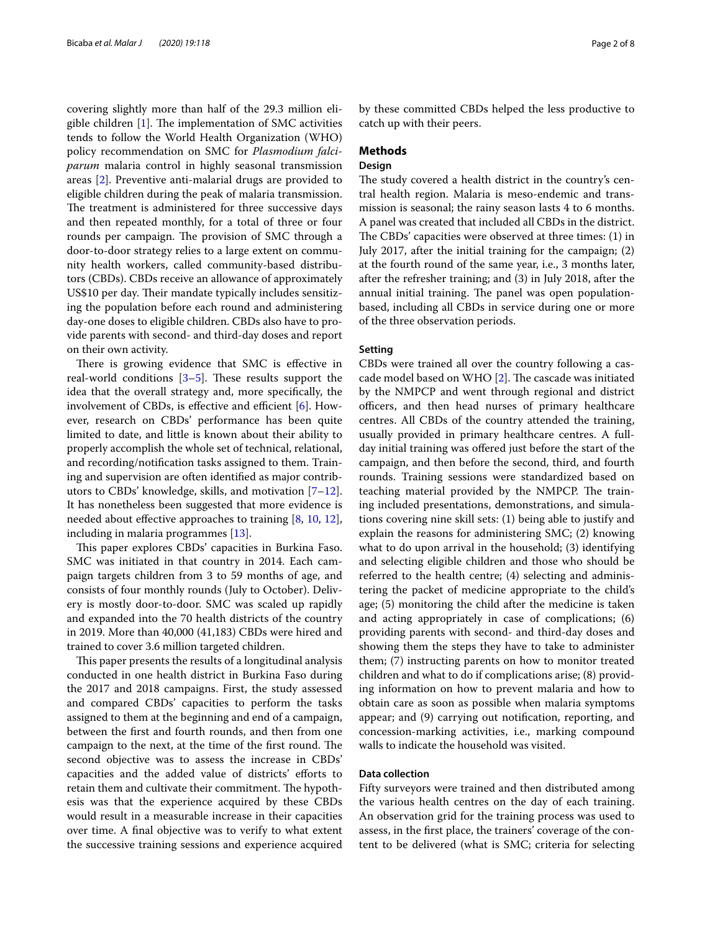covering slightly more than half of the 29.3 million eligible children  $[1]$  $[1]$ . The implementation of SMC activities tends to follow the World Health Organization (WHO) policy recommendation on SMC for *Plasmodium falciparum* malaria control in highly seasonal transmission areas [\[2](#page-7-1)]. Preventive anti-malarial drugs are provided to eligible children during the peak of malaria transmission. The treatment is administered for three successive days and then repeated monthly, for a total of three or four rounds per campaign. The provision of SMC through a door-to-door strategy relies to a large extent on community health workers, called community-based distributors (CBDs). CBDs receive an allowance of approximately US\$10 per day. Their mandate typically includes sensitizing the population before each round and administering day-one doses to eligible children. CBDs also have to provide parents with second- and third-day doses and report on their own activity.

There is growing evidence that SMC is effective in real-world conditions  $[3-5]$  $[3-5]$ . These results support the idea that the overall strategy and, more specifcally, the involvement of CBDs, is effective and efficient  $[6]$  $[6]$ . However, research on CBDs' performance has been quite limited to date, and little is known about their ability to properly accomplish the whole set of technical, relational, and recording/notifcation tasks assigned to them. Training and supervision are often identifed as major contributors to CBDs' knowledge, skills, and motivation [\[7](#page-7-5)[–12](#page-7-6)]. It has nonetheless been suggested that more evidence is needed about effective approaches to training [[8,](#page-7-7) [10](#page-7-8), [12](#page-7-6)], including in malaria programmes [\[13](#page-7-9)].

This paper explores CBDs' capacities in Burkina Faso. SMC was initiated in that country in 2014. Each campaign targets children from 3 to 59 months of age, and consists of four monthly rounds (July to October). Delivery is mostly door-to-door. SMC was scaled up rapidly and expanded into the 70 health districts of the country in 2019. More than 40,000 (41,183) CBDs were hired and trained to cover 3.6 million targeted children.

This paper presents the results of a longitudinal analysis conducted in one health district in Burkina Faso during the 2017 and 2018 campaigns. First, the study assessed and compared CBDs' capacities to perform the tasks assigned to them at the beginning and end of a campaign, between the frst and fourth rounds, and then from one campaign to the next, at the time of the first round. The second objective was to assess the increase in CBDs' capacities and the added value of districts' eforts to retain them and cultivate their commitment. The hypothesis was that the experience acquired by these CBDs would result in a measurable increase in their capacities over time. A fnal objective was to verify to what extent the successive training sessions and experience acquired by these committed CBDs helped the less productive to catch up with their peers.

#### **Methods**

#### **Design**

The study covered a health district in the country's central health region. Malaria is meso-endemic and transmission is seasonal; the rainy season lasts 4 to 6 months. A panel was created that included all CBDs in the district. The CBDs' capacities were observed at three times: (1) in July 2017, after the initial training for the campaign; (2) at the fourth round of the same year, i.e., 3 months later, after the refresher training; and (3) in July 2018, after the annual initial training. The panel was open populationbased, including all CBDs in service during one or more of the three observation periods.

#### **Setting**

CBDs were trained all over the country following a cascade model based on WHO  $[2]$  $[2]$ . The cascade was initiated by the NMPCP and went through regional and district officers, and then head nurses of primary healthcare centres. All CBDs of the country attended the training, usually provided in primary healthcare centres. A fullday initial training was ofered just before the start of the campaign, and then before the second, third, and fourth rounds. Training sessions were standardized based on teaching material provided by the NMPCP. The training included presentations, demonstrations, and simulations covering nine skill sets: (1) being able to justify and explain the reasons for administering SMC; (2) knowing what to do upon arrival in the household; (3) identifying and selecting eligible children and those who should be referred to the health centre; (4) selecting and administering the packet of medicine appropriate to the child's age; (5) monitoring the child after the medicine is taken and acting appropriately in case of complications; (6) providing parents with second- and third-day doses and showing them the steps they have to take to administer them; (7) instructing parents on how to monitor treated children and what to do if complications arise; (8) providing information on how to prevent malaria and how to obtain care as soon as possible when malaria symptoms appear; and (9) carrying out notifcation, reporting, and concession-marking activities, i.e., marking compound walls to indicate the household was visited.

#### **Data collection**

Fifty surveyors were trained and then distributed among the various health centres on the day of each training. An observation grid for the training process was used to assess, in the frst place, the trainers' coverage of the content to be delivered (what is SMC; criteria for selecting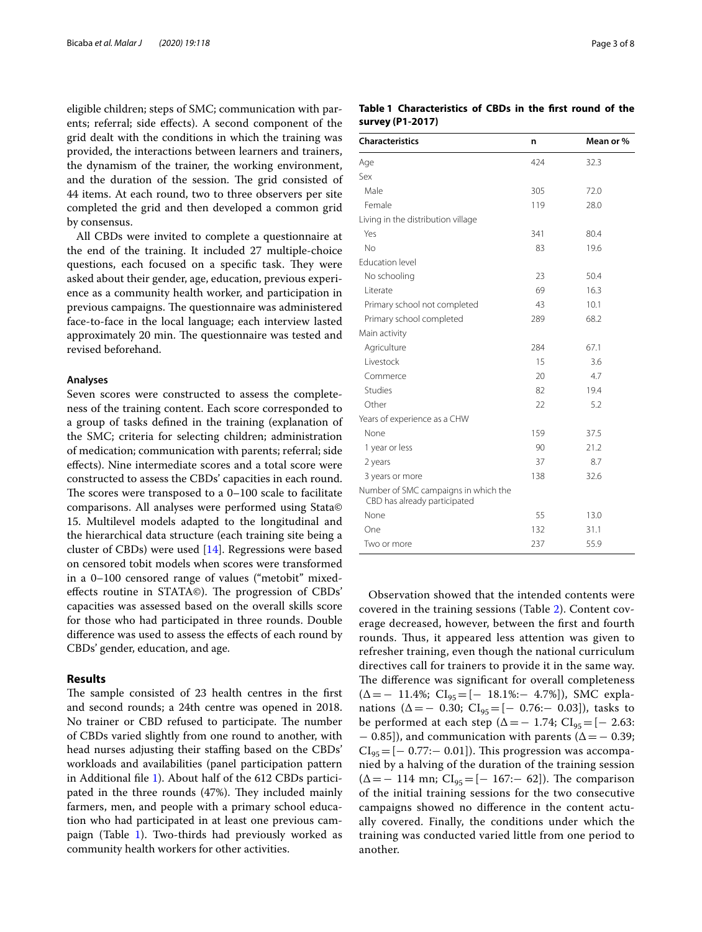eligible children; steps of SMC; communication with parents; referral; side efects). A second component of the grid dealt with the conditions in which the training was provided, the interactions between learners and trainers, the dynamism of the trainer, the working environment, and the duration of the session. The grid consisted of 44 items. At each round, two to three observers per site completed the grid and then developed a common grid by consensus.

All CBDs were invited to complete a questionnaire at the end of the training. It included 27 multiple-choice questions, each focused on a specific task. They were asked about their gender, age, education, previous experience as a community health worker, and participation in previous campaigns. The questionnaire was administered face-to-face in the local language; each interview lasted approximately 20 min. The questionnaire was tested and revised beforehand.

#### **Analyses**

Seven scores were constructed to assess the completeness of the training content. Each score corresponded to a group of tasks defned in the training (explanation of the SMC; criteria for selecting children; administration of medication; communication with parents; referral; side efects). Nine intermediate scores and a total score were constructed to assess the CBDs' capacities in each round. The scores were transposed to a  $0-100$  scale to facilitate comparisons. All analyses were performed using Stata© 15. Multilevel models adapted to the longitudinal and the hierarchical data structure (each training site being a cluster of CBDs) were used [\[14](#page-7-10)]. Regressions were based on censored tobit models when scores were transformed in a 0–100 censored range of values ("metobit" mixedeffects routine in STATA©). The progression of CBDs' capacities was assessed based on the overall skills score for those who had participated in three rounds. Double diference was used to assess the efects of each round by CBDs' gender, education, and age.

#### **Results**

The sample consisted of 23 health centres in the first and second rounds; a 24th centre was opened in 2018. No trainer or CBD refused to participate. The number of CBDs varied slightly from one round to another, with head nurses adjusting their staffing based on the CBDs' workloads and availabilities (panel participation pattern in Additional fle [1](#page-6-0)). About half of the 612 CBDs participated in the three rounds (47%). They included mainly farmers, men, and people with a primary school education who had participated in at least one previous campaign (Table [1](#page-2-0)). Two-thirds had previously worked as community health workers for other activities.

#### <span id="page-2-0"></span>**Table 1 Characteristics of CBDs in the frst round of the survey (P1-2017)**

| <b>Characteristics</b>                                               | n   | Mean or % |
|----------------------------------------------------------------------|-----|-----------|
| Age                                                                  | 424 | 32.3      |
| Sex                                                                  |     |           |
| Male                                                                 | 305 | 72.0      |
| Female                                                               | 119 | 28.0      |
| Living in the distribution village                                   |     |           |
| Yes                                                                  | 341 | 80.4      |
| No                                                                   | 83  | 19.6      |
| <b>Education level</b>                                               |     |           |
| No schooling                                                         | 23  | 50.4      |
| Literate                                                             | 69  | 16.3      |
| Primary school not completed                                         | 43  | 10.1      |
| Primary school completed                                             | 289 | 68.2      |
| Main activity                                                        |     |           |
| Agriculture                                                          | 284 | 67.1      |
| Livestock                                                            | 15  | 3.6       |
| Commerce                                                             | 20  | 4.7       |
| <b>Studies</b>                                                       | 82  | 19.4      |
| Other                                                                | 22  | 5.2       |
| Years of experience as a CHW                                         |     |           |
| None                                                                 | 159 | 37.5      |
| 1 year or less                                                       | 90  | 21.2      |
| 2 years                                                              | 37  | 8.7       |
| 3 years or more                                                      | 138 | 32.6      |
| Number of SMC campaigns in which the<br>CBD has already participated |     |           |
| None                                                                 | 55  | 13.0      |
| One                                                                  | 132 | 31.1      |
| Two or more                                                          | 237 | 55.9      |

Observation showed that the intended contents were covered in the training sessions (Table [2\)](#page-3-0). Content coverage decreased, however, between the frst and fourth rounds. Thus, it appeared less attention was given to refresher training, even though the national curriculum directives call for trainers to provide it in the same way. The difference was significant for overall completeness  $(\Delta = -11.4\%; \text{ CI}_{95} = [-18.1\%:- 4.7\%])$ , SMC explanations ( $\Delta = -0.30$ ; CI<sub>95</sub> = [- 0.76: - 0.03]), tasks to be performed at each step ( $\Delta = -1.74$ ; CI<sub>95</sub>=[-2.63:  $-$  0.85]), and communication with parents ( $\Delta$  =  $-$  0.39;  $CI_{95}=[-0.77:-0.01]$ . This progression was accompanied by a halving of the duration of the training session  $(\Delta = -114 \text{ mm}; \text{CI}_{95} = [-167:-62])$ . The comparison of the initial training sessions for the two consecutive campaigns showed no diference in the content actually covered. Finally, the conditions under which the training was conducted varied little from one period to another.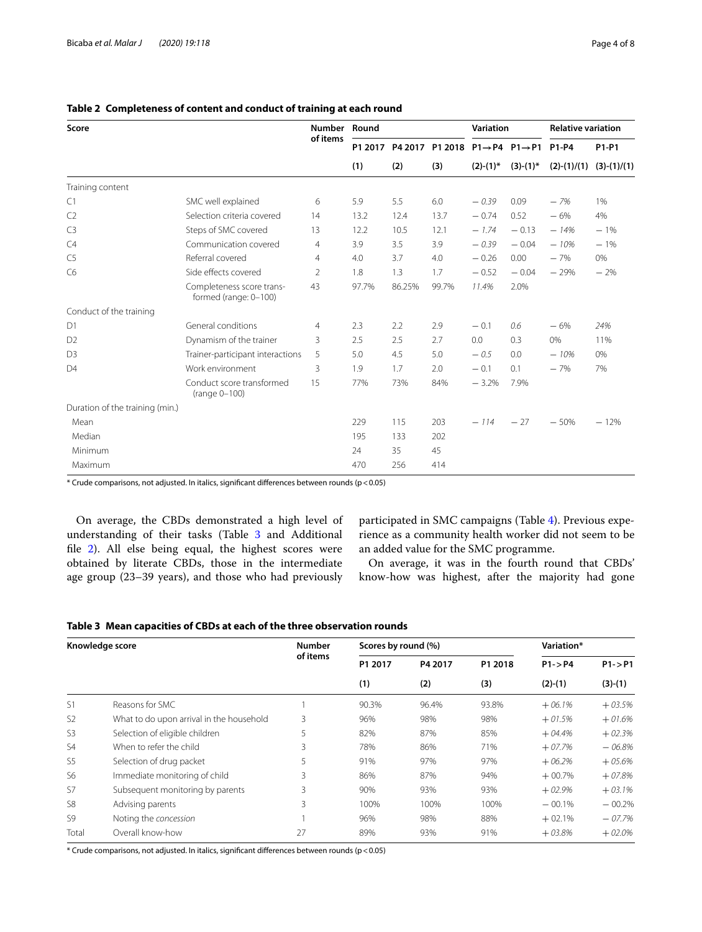| Score                           |                                                    | Number Round<br>of items |         |         |       | <b>Variation</b>                                |               | <b>Relative variation</b> |                             |
|---------------------------------|----------------------------------------------------|--------------------------|---------|---------|-------|-------------------------------------------------|---------------|---------------------------|-----------------------------|
|                                 |                                                    |                          | P1 2017 | P4 2017 |       | P1 2018 P1 $\rightarrow$ P4 P1 $\rightarrow$ P1 |               | <b>P1-P4</b>              | P1-P1                       |
|                                 |                                                    |                          | (1)     | (2)     | (3)   | $(2)-(1)^{*}$                                   | $(3)-(1)^{*}$ |                           | $(2)-(1)/(1)$ $(3)-(1)/(1)$ |
| Training content                |                                                    |                          |         |         |       |                                                 |               |                           |                             |
| C1                              | SMC well explained                                 | 6                        | 5.9     | 5.5     | 6.0   | $-0.39$                                         | 0.09          | $-7%$                     | 1%                          |
| C <sub>2</sub>                  | Selection criteria covered                         | 14                       | 13.2    | 12.4    | 13.7  | $-0.74$                                         | 0.52          | $-6%$                     | 4%                          |
| C <sub>3</sub>                  | Steps of SMC covered                               | 13                       | 12.2    | 10.5    | 12.1  | $-1.74$                                         | $-0.13$       | $-14%$                    | $-1%$                       |
| C <sub>4</sub>                  | Communication covered                              | 4                        | 3.9     | 3.5     | 3.9   | $-0.39$                                         | $-0.04$       | $-10%$                    | $-1%$                       |
| C <sub>5</sub>                  | Referral covered                                   | 4                        | 4.0     | 3.7     | 4.0   | $-0.26$                                         | 0.00          | $-7%$                     | 0%                          |
| C <sub>6</sub>                  | Side effects covered                               | $\overline{2}$           | 1.8     | 1.3     | 1.7   | $-0.52$                                         | $-0.04$       | $-29%$                    | $-2%$                       |
|                                 | Completeness score trans-<br>formed (range: 0-100) | 43                       | 97.7%   | 86.25%  | 99.7% | 11.4%                                           | 2.0%          |                           |                             |
| Conduct of the training         |                                                    |                          |         |         |       |                                                 |               |                           |                             |
| D <sub>1</sub>                  | General conditions                                 | 4                        | 2.3     | 2.2     | 2.9   | $-0.1$                                          | 0.6           | $-6%$                     | 24%                         |
| D <sub>2</sub>                  | Dynamism of the trainer                            | 3                        | 2.5     | 2.5     | 2.7   | 0.0                                             | 0.3           | 0%                        | 11%                         |
| D <sub>3</sub>                  | Trainer-participant interactions                   | 5                        | 5.0     | 4.5     | 5.0   | $-.65$                                          | 0.0           | $-10%$                    | 0%                          |
| $\Box 4$                        | Work environment                                   | 3                        | 1.9     | 1.7     | 2.0   | $-0.1$                                          | 0.1           | $-7%$                     | 7%                          |
|                                 | Conduct score transformed<br>$(range 0-100)$       | 15                       | 77%     | 73%     | 84%   | $-3.2%$                                         | 7.9%          |                           |                             |
| Duration of the training (min.) |                                                    |                          |         |         |       |                                                 |               |                           |                             |
| Mean                            |                                                    |                          | 229     | 115     | 203   | $-114$                                          | $-27$         | $-50%$                    | $-12%$                      |
| Median                          |                                                    |                          | 195     | 133     | 202   |                                                 |               |                           |                             |
| Minimum                         |                                                    |                          | 24      | 35      | 45    |                                                 |               |                           |                             |
| Maximum                         |                                                    |                          | 470     | 256     | 414   |                                                 |               |                           |                             |

#### <span id="page-3-0"></span>**Table 2 Completeness of content and conduct of training at each round**

\* Crude comparisons, not adjusted. In italics, signifcant diferences between rounds (p<0.05)

On average, the CBDs demonstrated a high level of understanding of their tasks (Table [3](#page-3-1) and Additional fle [2](#page-6-1)). All else being equal, the highest scores were obtained by literate CBDs, those in the intermediate age group (23–39 years), and those who had previously

participated in SMC campaigns (Table [4](#page-4-0)). Previous experience as a community health worker did not seem to be an added value for the SMC programme.

On average, it was in the fourth round that CBDs' know-how was highest, after the majority had gone

<span id="page-3-1"></span>

|  |  |  |  |  |  | Table 3 Mean capacities of CBDs at each of the three observation rounds |  |
|--|--|--|--|--|--|-------------------------------------------------------------------------|--|
|--|--|--|--|--|--|-------------------------------------------------------------------------|--|

| Knowledge score |                                          | <b>Number</b> | Scores by round (%) |         | Variation*     |                          |                       |
|-----------------|------------------------------------------|---------------|---------------------|---------|----------------|--------------------------|-----------------------|
|                 |                                          | of items      | P1 2017<br>(1)      | P4 2017 | P1 2018<br>(3) | $P1 - > P4$<br>$(2)-(1)$ | $P1->P1$<br>$(3)-(1)$ |
|                 |                                          |               |                     | (2)     |                |                          |                       |
| S1              | Reasons for SMC                          |               | 90.3%               | 96.4%   | 93.8%          | $+06.1%$                 | $+03.5%$              |
| S <sub>2</sub>  | What to do upon arrival in the household | 3             | 96%                 | 98%     | 98%            | $+01.5%$                 | $+01.6%$              |
| S3              | Selection of eligible children           |               | 82%                 | 87%     | 85%            | $+04.4%$                 | $+02.3%$              |
| S <sub>4</sub>  | When to refer the child                  | 3             | 78%                 | 86%     | 71%            | $+07.7%$                 | $-06.8%$              |
| S5              | Selection of drug packet                 | 5             | 91%                 | 97%     | 97%            | $+06.2%$                 | $+05.6%$              |
| S <sub>6</sub>  | Immediate monitoring of child            | 3             | 86%                 | 87%     | 94%            | $+00.7%$                 | $+07.8%$              |
| S7              | Subsequent monitoring by parents         | 3             | 90%                 | 93%     | 93%            | $+02.9%$                 | $+03.1%$              |
| S <sub>8</sub>  | Advising parents                         | 3             | 100%                | 100%    | 100%           | $-00.1%$                 | $-00.2%$              |
| S9              | Noting the concession                    |               | 96%                 | 98%     | 88%            | $+02.1%$                 | $-07.7%$              |
| Total           | Overall know-how                         | 27            | 89%                 | 93%     | 91%            | $+03.8%$                 | $+02.0\%$             |

\* Crude comparisons, not adjusted. In italics, signifcant diferences between rounds (p<0.05)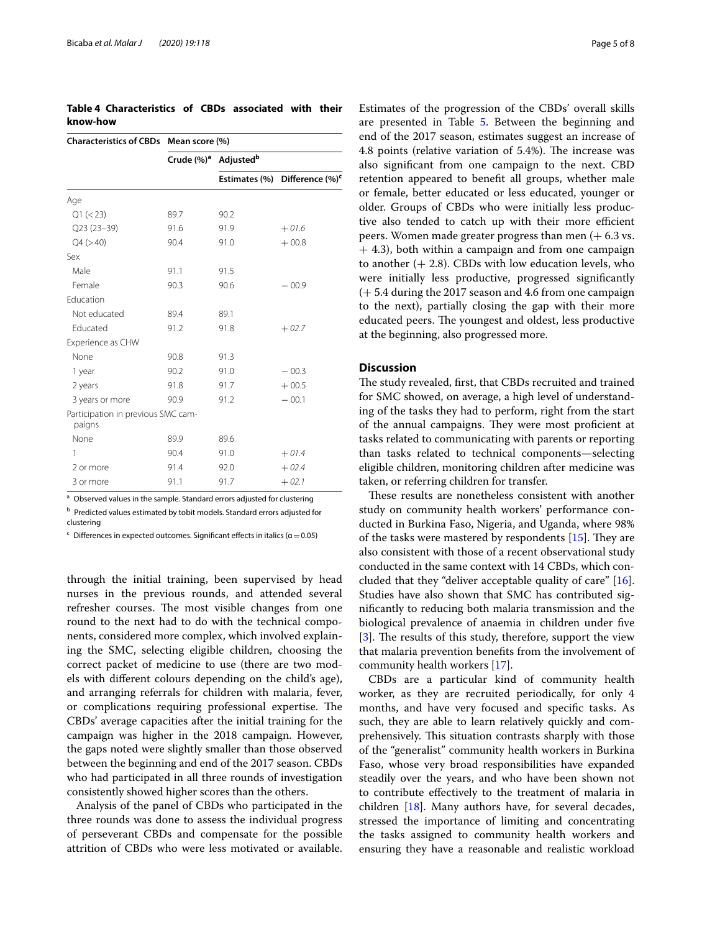#### <span id="page-4-0"></span>**Table 4 Characteristics of CBDs associated with their know-how**

| <b>Characteristics of CBDs</b>               | Mean score (%)         |                       |                                           |  |  |  |
|----------------------------------------------|------------------------|-----------------------|-------------------------------------------|--|--|--|
|                                              | Crude (%) <sup>a</sup> | Adjusted <sup>b</sup> |                                           |  |  |  |
|                                              |                        |                       | Estimates (%) Difference (%) <sup>c</sup> |  |  |  |
| Age                                          |                        |                       |                                           |  |  |  |
| Q1 (< 23)                                    | 89.7                   | 90.2                  |                                           |  |  |  |
| $Q23(23-39)$                                 | 91.6                   | 91.9                  | $+01.6$                                   |  |  |  |
| Q4 (> 40)                                    | 90.4                   | 91.0                  | $+00.8$                                   |  |  |  |
| Sex                                          |                        |                       |                                           |  |  |  |
| Male                                         | 91.1                   | 91.5                  |                                           |  |  |  |
| Female                                       | 90.3                   | 90.6                  | $-00.9$                                   |  |  |  |
| Education                                    |                        |                       |                                           |  |  |  |
| Not educated                                 | 89.4                   | 89.1                  |                                           |  |  |  |
| Educated                                     | 91.2                   | 91.8                  | $+02.7$                                   |  |  |  |
| Experience as CHW                            |                        |                       |                                           |  |  |  |
| None                                         | 90.8                   | 91.3                  |                                           |  |  |  |
| 1 year                                       | 90.2                   | 91.0                  | $-00.3$                                   |  |  |  |
| 2 years                                      | 91.8                   | 91.7                  | $+00.5$                                   |  |  |  |
| 3 years or more                              | 90.9                   | 91.2                  | $-00.1$                                   |  |  |  |
| Participation in previous SMC cam-<br>paigns |                        |                       |                                           |  |  |  |
| None                                         | 89.9                   | 89.6                  |                                           |  |  |  |
| 1                                            | 90.4                   | 91.0                  | $+01.4$                                   |  |  |  |
| 2 or more                                    | 91.4                   | 92.0                  | $+02.4$                                   |  |  |  |
| 3 or more                                    | 91.1                   | 91.7                  | $+02.1$                                   |  |  |  |

<sup>a</sup> Observed values in the sample. Standard errors adjusted for clustering

<sup>b</sup> Predicted values estimated by tobit models. Standard errors adjusted for clustering

<sup>c</sup> Differences in expected outcomes. Significant effects in italics ( $\alpha$  = 0.05)

through the initial training, been supervised by head nurses in the previous rounds, and attended several refresher courses. The most visible changes from one round to the next had to do with the technical components, considered more complex, which involved explaining the SMC, selecting eligible children, choosing the correct packet of medicine to use (there are two models with diferent colours depending on the child's age), and arranging referrals for children with malaria, fever, or complications requiring professional expertise. The CBDs' average capacities after the initial training for the campaign was higher in the 2018 campaign. However, the gaps noted were slightly smaller than those observed between the beginning and end of the 2017 season. CBDs who had participated in all three rounds of investigation consistently showed higher scores than the others.

Analysis of the panel of CBDs who participated in the three rounds was done to assess the individual progress of perseverant CBDs and compensate for the possible attrition of CBDs who were less motivated or available.

Estimates of the progression of the CBDs' overall skills are presented in Table [5](#page-5-0). Between the beginning and end of the 2017 season, estimates suggest an increase of 4.8 points (relative variation of 5.4%). The increase was also signifcant from one campaign to the next. CBD retention appeared to beneft all groups, whether male or female, better educated or less educated, younger or older. Groups of CBDs who were initially less productive also tended to catch up with their more efficient peers. Women made greater progress than men  $(+ 6.3 \text{ vs.})$ + 4.3), both within a campaign and from one campaign to another  $(+ 2.8)$ . CBDs with low education levels, who were initially less productive, progressed signifcantly (+ 5.4 during the 2017 season and 4.6 from one campaign to the next), partially closing the gap with their more educated peers. The youngest and oldest, less productive at the beginning, also progressed more.

#### **Discussion**

The study revealed, first, that CBDs recruited and trained for SMC showed, on average, a high level of understanding of the tasks they had to perform, right from the start of the annual campaigns. They were most proficient at tasks related to communicating with parents or reporting than tasks related to technical components—selecting eligible children, monitoring children after medicine was taken, or referring children for transfer.

These results are nonetheless consistent with another study on community health workers' performance conducted in Burkina Faso, Nigeria, and Uganda, where 98% of the tasks were mastered by respondents  $[15]$  $[15]$ . They are also consistent with those of a recent observational study conducted in the same context with 14 CBDs, which concluded that they "deliver acceptable quality of care" [\[16](#page-7-12)]. Studies have also shown that SMC has contributed signifcantly to reducing both malaria transmission and the biological prevalence of anaemia in children under fve [[3\]](#page-7-2). The results of this study, therefore, support the view that malaria prevention benefts from the involvement of community health workers [\[17\]](#page-7-13).

CBDs are a particular kind of community health worker, as they are recruited periodically, for only 4 months, and have very focused and specifc tasks. As such, they are able to learn relatively quickly and comprehensively. This situation contrasts sharply with those of the "generalist" community health workers in Burkina Faso, whose very broad responsibilities have expanded steadily over the years, and who have been shown not to contribute efectively to the treatment of malaria in children [\[18](#page-7-14)]. Many authors have, for several decades, stressed the importance of limiting and concentrating the tasks assigned to community health workers and ensuring they have a reasonable and realistic workload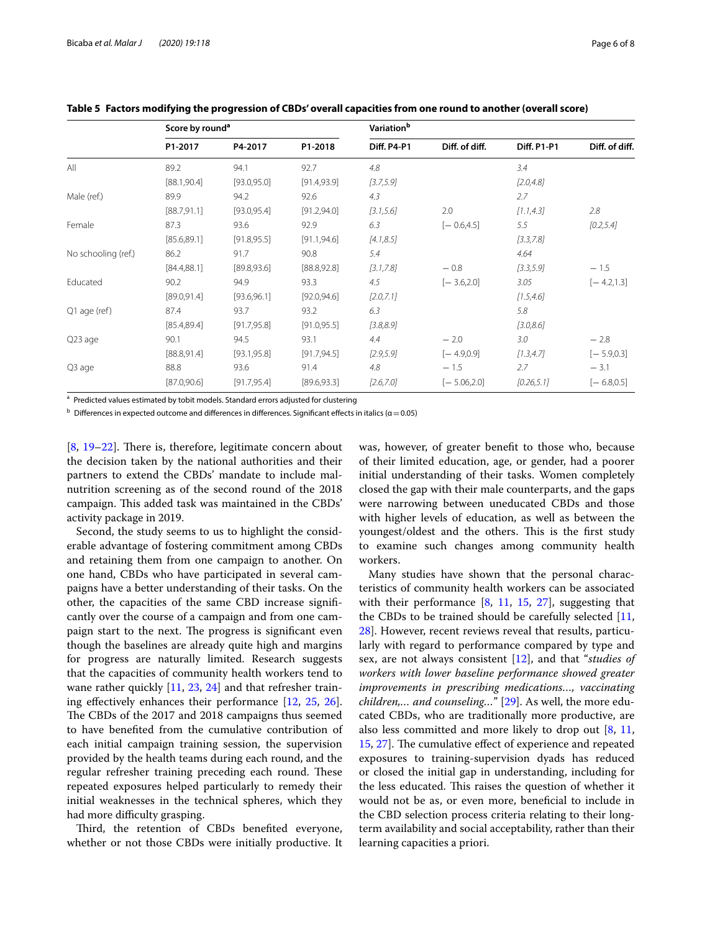|                     | Score by round <sup>a</sup> |              |              | Variation <sup>b</sup> |                |                    |                |
|---------------------|-----------------------------|--------------|--------------|------------------------|----------------|--------------------|----------------|
|                     | P1-2017                     | P4-2017      | P1-2018      | <b>Diff. P4-P1</b>     | Diff. of diff. | <b>Diff. P1-P1</b> | Diff. of diff. |
| All                 | 89.2                        | 94.1         | 92.7         | 4.8                    |                | 3.4                |                |
|                     | [88.1, 90.4]                | [93.0, 95.0] | [91.4, 93.9] | [3.7,5.9]              |                | [2.0, 4.8]         |                |
| Male (ref.)         | 89.9                        | 94.2         | 92.6         | 4.3                    |                | 2.7                |                |
|                     | [88.7, 91.1]                | [93.0, 95.4] | [91.2, 94.0] | [3.1, 5.6]             | 2.0            | [1.1, 4.3]         | 2.8            |
| Female              | 87.3                        | 93.6         | 92.9         | 6.3                    | $[-0.6, 4.5]$  | 5.5                | [0.2, 5.4]     |
|                     | [85.6, 89.1]                | [91.8, 95.5] | [91.1, 94.6] | [4.1, 8.5]             |                | [3.3, 7.8]         |                |
| No schooling (ref.) | 86.2                        | 91.7         | 90.8         | 5.4                    |                | 4.64               |                |
|                     | [84.4, 88.1]                | [89.8, 93.6] | [88.8, 92.8] | [3.1, 7.8]             | $-0.8$         | [3.3, 5.9]         | $-1.5$         |
| Educated            | 90.2                        | 94.9         | 93.3         | 4.5                    | $[-3.6, 2.0]$  | 3.05               | $[-4.2, 1.3]$  |
|                     | [89.0, 91.4]                | [93.6, 96.1] | [92.0, 94.6] | [2.0, 7.1]             |                | [1.5, 4.6]         |                |
| Q1 age (ref)        | 87.4                        | 93.7         | 93.2         | 6.3                    |                | 5.8                |                |
|                     | [85.4, 89.4]                | [91.7, 95.8] | [91.0, 95.5] | [3.8, 8.9]             |                | [3.0, 8.6]         |                |
| Q23 age             | 90.1                        | 94.5         | 93.1         | 4.4                    | $-2.0$         | 3.0                | $-2.8$         |
|                     | [88.8, 91.4]                | [93.1, 95.8] | [91.7, 94.5] | [2.9, 5.9]             | $[-4.9, 0.9]$  | [1.3, 4.7]         | $[-5.9, 0.3]$  |
| Q3 age              | 88.8                        | 93.6         | 91.4         | 4.8                    | $-1.5$         | 2.7                | $-3.1$         |
|                     | [87.0,90.6]                 | [91.7, 95.4] | [89.6, 93.3] | [2.6, 7.0]             | $[-5.06, 2.0]$ | [0.26, 5.1]        | $[-6.8, 0.5]$  |

<span id="page-5-0"></span>**Table 5 Factors modifying the progression of CBDs' overall capacities from one round to another (overall score)**

a Predicted values estimated by tobit models. Standard errors adjusted for clustering

<sup>b</sup> Differences in expected outcome and differences in differences. Significant effects in italics ( $a$  = 0.05)

 $[8, 19-22]$  $[8, 19-22]$  $[8, 19-22]$  $[8, 19-22]$  $[8, 19-22]$ . There is, therefore, legitimate concern about the decision taken by the national authorities and their partners to extend the CBDs' mandate to include malnutrition screening as of the second round of the 2018 campaign. This added task was maintained in the CBDs' activity package in 2019.

Second, the study seems to us to highlight the considerable advantage of fostering commitment among CBDs and retaining them from one campaign to another. On one hand, CBDs who have participated in several campaigns have a better understanding of their tasks. On the other, the capacities of the same CBD increase signifcantly over the course of a campaign and from one campaign start to the next. The progress is significant even though the baselines are already quite high and margins for progress are naturally limited. Research suggests that the capacities of community health workers tend to wane rather quickly [[11](#page-7-17), [23](#page-7-18), [24](#page-7-19)] and that refresher training efectively enhances their performance [\[12](#page-7-6), [25](#page-7-20), [26](#page-7-21)]. The CBDs of the 2017 and 2018 campaigns thus seemed to have benefted from the cumulative contribution of each initial campaign training session, the supervision provided by the health teams during each round, and the regular refresher training preceding each round. These repeated exposures helped particularly to remedy their initial weaknesses in the technical spheres, which they had more difficulty grasping.

Third, the retention of CBDs benefited everyone, whether or not those CBDs were initially productive. It was, however, of greater beneft to those who, because of their limited education, age, or gender, had a poorer initial understanding of their tasks. Women completely closed the gap with their male counterparts, and the gaps were narrowing between uneducated CBDs and those with higher levels of education, as well as between the youngest/oldest and the others. This is the first study to examine such changes among community health workers.

Many studies have shown that the personal characteristics of community health workers can be associated with their performance  $[8, 11, 15, 27]$  $[8, 11, 15, 27]$  $[8, 11, 15, 27]$  $[8, 11, 15, 27]$  $[8, 11, 15, 27]$  $[8, 11, 15, 27]$  $[8, 11, 15, 27]$  $[8, 11, 15, 27]$ , suggesting that the CBDs to be trained should be carefully selected  $[11, 1]$  $[11, 1]$  $[11, 1]$ [28\]](#page-7-23). However, recent reviews reveal that results, particularly with regard to performance compared by type and sex, are not always consistent [\[12](#page-7-6)], and that "*studies of workers with lower baseline performance showed greater improvements in prescribing medications…, vaccinating children,… and counseling…*" [\[29\]](#page-7-24). As well, the more educated CBDs, who are traditionally more productive, are also less committed and more likely to drop out [[8,](#page-7-7) [11](#page-7-17), [15,](#page-7-11) [27](#page-7-22)]. The cumulative effect of experience and repeated exposures to training-supervision dyads has reduced or closed the initial gap in understanding, including for the less educated. This raises the question of whether it would not be as, or even more, benefcial to include in the CBD selection process criteria relating to their longterm availability and social acceptability, rather than their learning capacities a priori.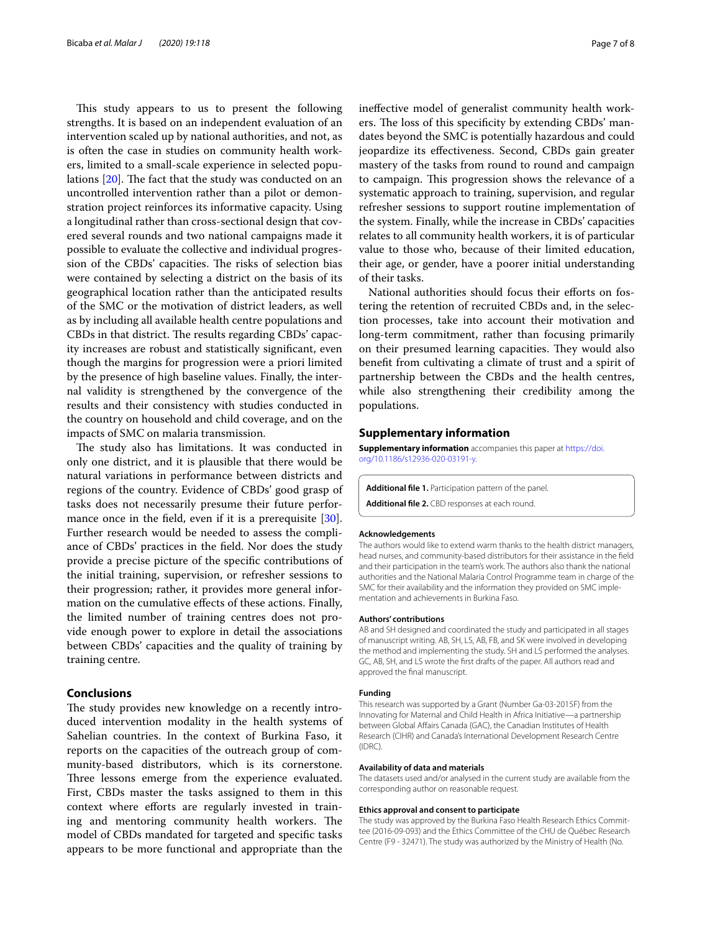This study appears to us to present the following strengths. It is based on an independent evaluation of an intervention scaled up by national authorities, and not, as is often the case in studies on community health workers, limited to a small-scale experience in selected populations  $[20]$  $[20]$ . The fact that the study was conducted on an uncontrolled intervention rather than a pilot or demonstration project reinforces its informative capacity. Using a longitudinal rather than cross-sectional design that covered several rounds and two national campaigns made it possible to evaluate the collective and individual progression of the CBDs' capacities. The risks of selection bias were contained by selecting a district on the basis of its geographical location rather than the anticipated results of the SMC or the motivation of district leaders, as well as by including all available health centre populations and CBDs in that district. The results regarding CBDs' capacity increases are robust and statistically signifcant, even though the margins for progression were a priori limited by the presence of high baseline values. Finally, the internal validity is strengthened by the convergence of the results and their consistency with studies conducted in the country on household and child coverage, and on the impacts of SMC on malaria transmission.

The study also has limitations. It was conducted in only one district, and it is plausible that there would be natural variations in performance between districts and regions of the country. Evidence of CBDs' good grasp of tasks does not necessarily presume their future perfor-mance once in the field, even if it is a prerequisite [\[30](#page-7-26)]. Further research would be needed to assess the compliance of CBDs' practices in the feld. Nor does the study provide a precise picture of the specifc contributions of the initial training, supervision, or refresher sessions to their progression; rather, it provides more general information on the cumulative efects of these actions. Finally, the limited number of training centres does not provide enough power to explore in detail the associations between CBDs' capacities and the quality of training by training centre.

#### **Conclusions**

The study provides new knowledge on a recently introduced intervention modality in the health systems of Sahelian countries. In the context of Burkina Faso, it reports on the capacities of the outreach group of community-based distributors, which is its cornerstone. Three lessons emerge from the experience evaluated. First, CBDs master the tasks assigned to them in this context where efforts are regularly invested in training and mentoring community health workers. The model of CBDs mandated for targeted and specifc tasks appears to be more functional and appropriate than the inefective model of generalist community health workers. The loss of this specificity by extending CBDs' mandates beyond the SMC is potentially hazardous and could jeopardize its efectiveness. Second, CBDs gain greater mastery of the tasks from round to round and campaign to campaign. This progression shows the relevance of a systematic approach to training, supervision, and regular refresher sessions to support routine implementation of the system. Finally, while the increase in CBDs' capacities relates to all community health workers, it is of particular value to those who, because of their limited education, their age, or gender, have a poorer initial understanding of their tasks.

National authorities should focus their efforts on fostering the retention of recruited CBDs and, in the selection processes, take into account their motivation and long-term commitment, rather than focusing primarily on their presumed learning capacities. They would also beneft from cultivating a climate of trust and a spirit of partnership between the CBDs and the health centres, while also strengthening their credibility among the populations.

#### **Supplementary information**

**Supplementary information** accompanies this paper at [https://doi.](https://doi.org/10.1186/s12936-020-03191-y) [org/10.1186/s12936-020-03191-y.](https://doi.org/10.1186/s12936-020-03191-y)

<span id="page-6-1"></span><span id="page-6-0"></span>**Additional fle 1.** Participation pattern of the panel.

**Additional fle 2.** CBD responses at each round.

#### **Acknowledgements**

The authors would like to extend warm thanks to the health district managers, head nurses, and community-based distributors for their assistance in the feld and their participation in the team's work. The authors also thank the national authorities and the National Malaria Control Programme team in charge of the SMC for their availability and the information they provided on SMC implementation and achievements in Burkina Faso.

#### **Authors' contributions**

AB and SH designed and coordinated the study and participated in all stages of manuscript writing. AB, SH, LS, AB, FB, and SK were involved in developing the method and implementing the study. SH and LS performed the analyses. GC, AB, SH, and LS wrote the frst drafts of the paper. All authors read and approved the fnal manuscript.

#### **Funding**

This research was supported by a Grant (Number Ga-03-2015F) from the Innovating for Maternal and Child Health in Africa Initiative—a partnership between Global Affairs Canada (GAC), the Canadian Institutes of Health Research (CIHR) and Canada's International Development Research Centre (IDRC).

#### **Availability of data and materials**

The datasets used and/or analysed in the current study are available from the corresponding author on reasonable request.

#### **Ethics approval and consent to participate**

The study was approved by the Burkina Faso Health Research Ethics Committee (2016-09-093) and the Ethics Committee of the CHU de Québec Research Centre (F9 - 32471). The study was authorized by the Ministry of Health (No.